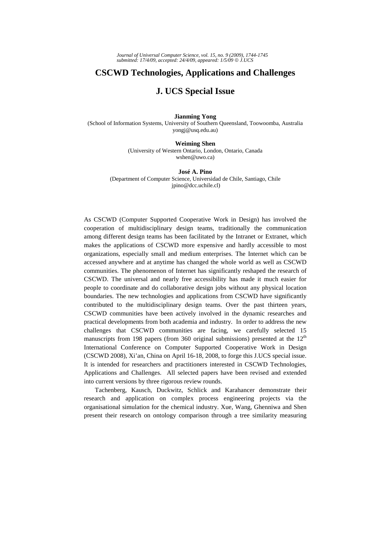## **CSCWD Technologies, Applications and Challenges**

# **J. UCS Special Issue**

## **Jianming Yong**

(School of Information Systems, University of Southern Queensland, Toowoomba, Australia yongj@usq.edu.au)

### **Weiming Shen**

(University of Western Ontario, London, Ontario, Canada wshen@uwo.ca)

#### **José A. Pino**

(Department of Computer Science, Universidad de Chile, Santiago, Chile jpino@dcc.uchile.cl)

As CSCWD (Computer Supported Cooperative Work in Design) has involved the cooperation of multidisciplinary design teams, traditionally the communication among different design teams has been facilitated by the Intranet or Extranet, which makes the applications of CSCWD more expensive and hardly accessible to most organizations, especially small and medium enterprises. The Internet which can be accessed anywhere and at anytime has changed the whole world as well as CSCWD communities. The phenomenon of Internet has significantly reshaped the research of CSCWD. The universal and nearly free accessibility has made it much easier for people to coordinate and do collaborative design jobs without any physical location boundaries. The new technologies and applications from CSCWD have significantly contributed to the multidisciplinary design teams. Over the past thirteen years, CSCWD communities have been actively involved in the dynamic researches and practical developments from both academia and industry. In order to address the new challenges that CSCWD communities are facing, we carefully selected 15 manuscripts from 198 papers (from 360 original submissions) presented at the  $12<sup>th</sup>$ International Conference on Computer Supported Cooperative Work in Design (CSCWD 2008), Xi'an, China on April 16-18, 2008, to forge this J.UCS special issue. It is intended for researchers and practitioners interested in CSCWD Technologies, Applications and Challenges. All selected papers have been revised and extended into current versions by three rigorous review rounds.

Tachenberg, Kausch, Duckwitz, Schlick and Karahancer demonstrate their research and application on complex process engineering projects via the organisational simulation for the chemical industry. Xue, Wang, Ghenniwa and Shen present their research on ontology comparison through a tree similarity measuring